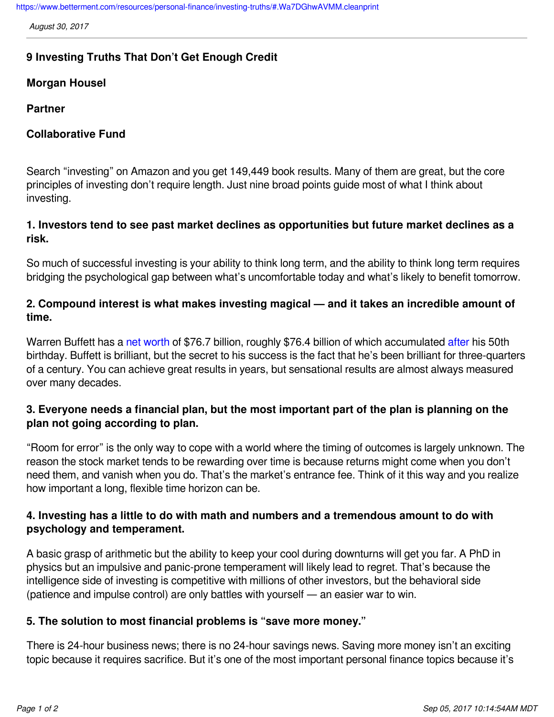<https://www.betterment.com/resources/personal-finance/investing-truths/#.Wa7DGhwAVMM.cleanprint>

*August 30, 2017*

# **9 Investing Truths That Don't Get Enough Credit**

### **Morgan Housel**

#### **Partner**

### **Collaborative Fund**

Search "investing" on Amazon and you get 149,449 book results. Many of them are great, but the core principles of investing don't require length. Just nine broad points guide most of what I think about investing.

### **1. Investors tend to see past market declines as opportunities but future market declines as a risk.**

So much of successful investing is your ability to think long term, and the ability to think long term requires bridging the psychological gap between what's uncomfortable today and what's likely to benefit tomorrow.

## **2. Compound interest is what makes investing magical — and it takes an incredible amount of time.**

Warren Buffett has a [net worth](https://www.bloomberg.com/billionaires/) of \$76.7 billion, roughly \$76.4 billion of which accumulated [after](http://www.marketwatch.com/story/from-6000-to-67-billion-warren-buffetts-wealth-through-the-ages-2015-08-17) his 50th birthday. Buffett is brilliant, but the secret to his success is the fact that he's been brilliant for three-quarters of a century. You can achieve great results in years, but sensational results are almost always measured over many decades.

# **3. Everyone needs a financial plan, but the most important part of the plan is planning on the plan not going according to plan.**

"Room for error" is the only way to cope with a world where the timing of outcomes is largely unknown. The reason the stock market tends to be rewarding over time is because returns might come when you don't need them, and vanish when you do. That's the market's entrance fee. Think of it this way and you realize how important a long, flexible time horizon can be.

# **4. Investing has a little to do with math and numbers and a tremendous amount to do with psychology and temperament.**

A basic grasp of arithmetic but the ability to keep your cool during downturns will get you far. A PhD in physics but an impulsive and panic-prone temperament will likely lead to regret. That's because the intelligence side of investing is competitive with millions of other investors, but the behavioral side (patience and impulse control) are only battles with yourself — an easier war to win.

### **5. The solution to most financial problems is "save more money."**

There is 24-hour business news; there is no 24-hour savings news. Saving more money isn't an exciting topic because it requires sacrifice. But it's one of the most important personal finance topics because it's